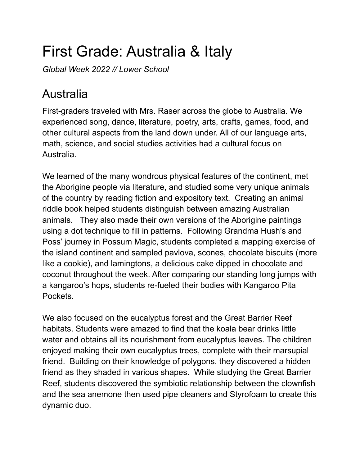## First Grade: Australia & Italy

*Global Week 2022 // Lower School*

## Australia

First-graders traveled with Mrs. Raser across the globe to Australia. We experienced song, dance, literature, poetry, arts, crafts, games, food, and other cultural aspects from the land down under. All of our language arts, math, science, and social studies activities had a cultural focus on Australia.

We learned of the many wondrous physical features of the continent, met the Aborigine people via literature, and studied some very unique animals of the country by reading fiction and expository text. Creating an animal riddle book helped students distinguish between amazing Australian animals. They also made their own versions of the Aborigine paintings using a dot technique to fill in patterns. Following Grandma Hush's and Poss' journey in Possum Magic, students completed a mapping exercise of the island continent and sampled pavlova, scones, chocolate biscuits (more like a cookie), and lamingtons, a delicious cake dipped in chocolate and coconut throughout the week. After comparing our standing long jumps with a kangaroo's hops, students re-fueled their bodies with Kangaroo Pita Pockets.

We also focused on the eucalyptus forest and the Great Barrier Reef habitats. Students were amazed to find that the koala bear drinks little water and obtains all its nourishment from eucalyptus leaves. The children enjoyed making their own eucalyptus trees, complete with their marsupial friend. Building on their knowledge of polygons, they discovered a hidden friend as they shaded in various shapes. While studying the Great Barrier Reef, students discovered the symbiotic relationship between the clownfish and the sea anemone then used pipe cleaners and Styrofoam to create this dynamic duo.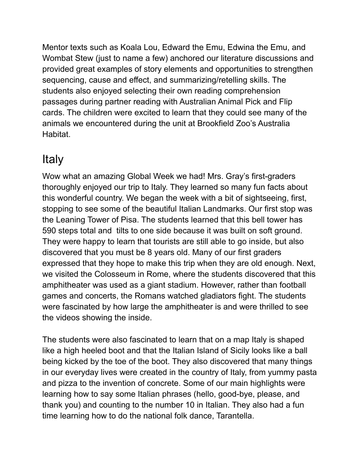Mentor texts such as Koala Lou, Edward the Emu, Edwina the Emu, and Wombat Stew (just to name a few) anchored our literature discussions and provided great examples of story elements and opportunities to strengthen sequencing, cause and effect, and summarizing/retelling skills. The students also enjoyed selecting their own reading comprehension passages during partner reading with Australian Animal Pick and Flip cards. The children were excited to learn that they could see many of the animals we encountered during the unit at Brookfield Zoo's Australia Habitat.

## Italy

Wow what an amazing Global Week we had! Mrs. Gray's first-graders thoroughly enjoyed our trip to Italy. They learned so many fun facts about this wonderful country. We began the week with a bit of sightseeing, first, stopping to see some of the beautiful Italian Landmarks. Our first stop was the Leaning Tower of Pisa. The students learned that this bell tower has 590 steps total and tilts to one side because it was built on soft ground. They were happy to learn that tourists are still able to go inside, but also discovered that you must be 8 years old. Many of our first graders expressed that they hope to make this trip when they are old enough. Next, we visited the Colosseum in Rome, where the students discovered that this amphitheater was used as a giant stadium. However, rather than football games and concerts, the Romans watched gladiators fight. The students were fascinated by how large the amphitheater is and were thrilled to see the videos showing the inside.

The students were also fascinated to learn that on a map Italy is shaped like a high heeled boot and that the Italian Island of Sicily looks like a ball being kicked by the toe of the boot. They also discovered that many things in our everyday lives were created in the country of Italy, from yummy pasta and pizza to the invention of concrete. Some of our main highlights were learning how to say some Italian phrases (hello, good-bye, please, and thank you) and counting to the number 10 in Italian. They also had a fun time learning how to do the national folk dance, Tarantella.